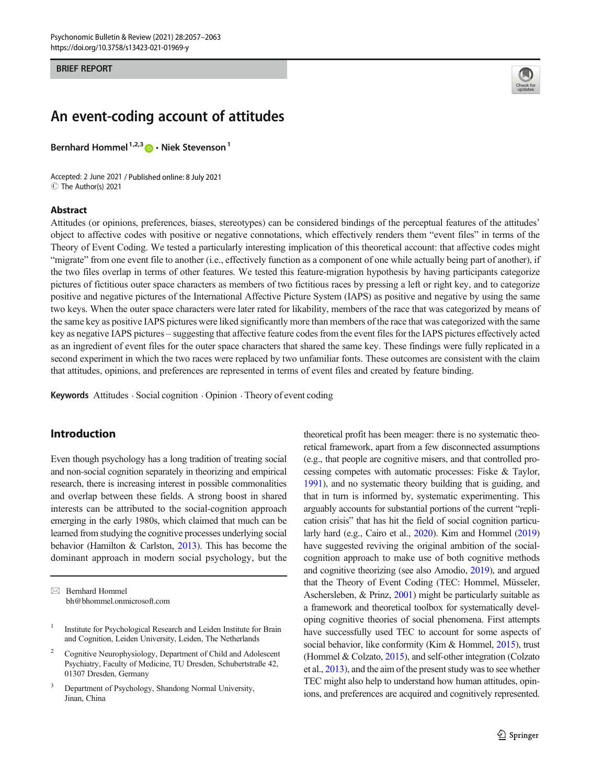#### BRIEF REPORT



# An event-coding account of attitudes

Bernhard Hommel<sup>1,2,3</sup>  $\bullet$  · Niek Stevenson<sup>1</sup>

Accepted: 2 June 2021 / Published online: 8 July 2021  $\circledcirc$  The Author(s) 2021

#### Abstract

Attitudes (or opinions, preferences, biases, stereotypes) can be considered bindings of the perceptual features of the attitudes' object to affective codes with positive or negative connotations, which effectively renders them "event files" in terms of the Theory of Event Coding. We tested a particularly interesting implication of this theoretical account: that affective codes might "migrate" from one event file to another (i.e., effectively function as a component of one while actually being part of another), if the two files overlap in terms of other features. We tested this feature-migration hypothesis by having participants categorize pictures of fictitious outer space characters as members of two fictitious races by pressing a left or right key, and to categorize positive and negative pictures of the International Affective Picture System (IAPS) as positive and negative by using the same two keys. When the outer space characters were later rated for likability, members of the race that was categorized by means of the same key as positive IAPS pictures were liked significantly more than members of the race that was categorized with the same key as negative IAPS pictures – suggesting that affective feature codes from the event files for the IAPS pictures effectively acted as an ingredient of event files for the outer space characters that shared the same key. These findings were fully replicated in a second experiment in which the two races were replaced by two unfamiliar fonts. These outcomes are consistent with the claim that attitudes, opinions, and preferences are represented in terms of event files and created by feature binding.

**Keywords** Attitudes  $\cdot$  Social cognition  $\cdot$  Opinion  $\cdot$  Theory of event coding

# Introduction

Even though psychology has a long tradition of treating social and non-social cognition separately in theorizing and empirical research, there is increasing interest in possible commonalities and overlap between these fields. A strong boost in shared interests can be attributed to the social-cognition approach emerging in the early 1980s, which claimed that much can be learned from studying the cognitive processes underlying social behavior (Hamilton & Carlston, [2013](#page-6-0)). This has become the dominant approach in modern social psychology, but the theoretical profit has been meager: there is no systematic theoretical framework, apart from a few disconnected assumptions (e.g., that people are cognitive misers, and that controlled processing competes with automatic processes: Fiske & Taylor, [1991](#page-6-0)), and no systematic theory building that is guiding, and that in turn is informed by, systematic experimenting. This arguably accounts for substantial portions of the current "replication crisis" that has hit the field of social cognition particularly hard (e.g., Cairo et al., [2020](#page-6-0)). Kim and Hommel [\(2019](#page-6-0)) have suggested reviving the original ambition of the socialcognition approach to make use of both cognitive methods and cognitive theorizing (see also Amodio, [2019](#page-6-0)), and argued that the Theory of Event Coding (TEC: Hommel, Müsseler, Aschersleben, & Prinz, [2001](#page-6-0)) might be particularly suitable as a framework and theoretical toolbox for systematically developing cognitive theories of social phenomena. First attempts have successfully used TEC to account for some aspects of social behavior, like conformity (Kim & Hommel, [2015\)](#page-6-0), trust (Hommel & Colzato, [2015\)](#page-6-0), and self-other integration (Colzato et al., [2013](#page-6-0)), and the aim of the present study was to see whether TEC might also help to understand how human attitudes, opinions, and preferences are acquired and cognitively represented.

 $\boxtimes$  Bernhard Hommel [bh@bhommel.onmicrosoft.com](mailto:bh@bhommel.onmicrosoft.com)

<sup>&</sup>lt;sup>1</sup> Institute for Psychological Research and Leiden Institute for Brain and Cognition, Leiden University, Leiden, The Netherlands

<sup>2</sup> Cognitive Neurophysiology, Department of Child and Adolescent Psychiatry, Faculty of Medicine, TU Dresden, Schubertstraße 42, 01307 Dresden, Germany

Department of Psychology, Shandong Normal University, Jinan, China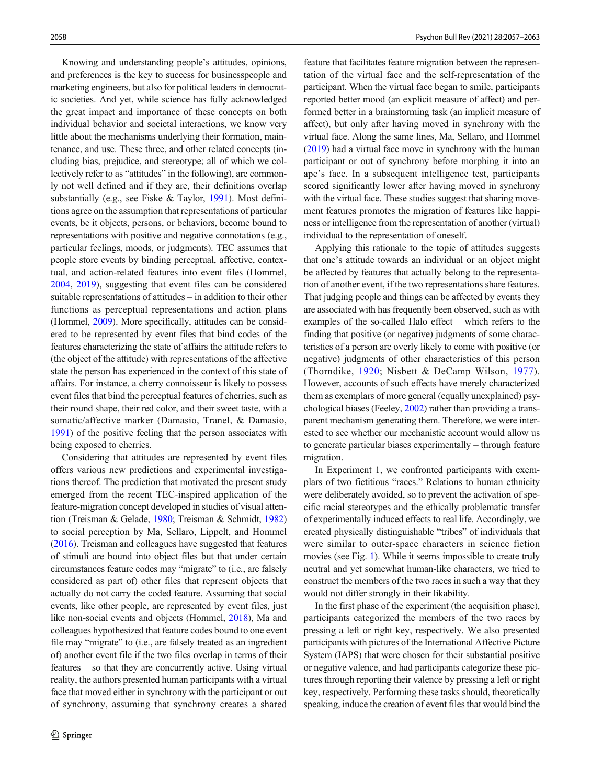Knowing and understanding people's attitudes, opinions, and preferences is the key to success for businesspeople and marketing engineers, but also for political leaders in democratic societies. And yet, while science has fully acknowledged the great impact and importance of these concepts on both individual behavior and societal interactions, we know very little about the mechanisms underlying their formation, maintenance, and use. These three, and other related concepts (including bias, prejudice, and stereotype; all of which we collectively refer to as "attitudes" in the following), are commonly not well defined and if they are, their definitions overlap substantially (e.g., see Fiske & Taylor, [1991](#page-6-0)). Most definitions agree on the assumption that representations of particular events, be it objects, persons, or behaviors, become bound to representations with positive and negative connotations (e.g., particular feelings, moods, or judgments). TEC assumes that people store events by binding perceptual, affective, contextual, and action-related features into event files (Hommel, [2004,](#page-6-0) [2019\)](#page-6-0), suggesting that event files can be considered suitable representations of attitudes – in addition to their other functions as perceptual representations and action plans (Hommel, [2009](#page-6-0)). More specifically, attitudes can be considered to be represented by event files that bind codes of the features characterizing the state of affairs the attitude refers to (the object of the attitude) with representations of the affective state the person has experienced in the context of this state of affairs. For instance, a cherry connoisseur is likely to possess event files that bind the perceptual features of cherries, such as their round shape, their red color, and their sweet taste, with a somatic/affective marker (Damasio, Tranel, & Damasio, [1991\)](#page-6-0) of the positive feeling that the person associates with being exposed to cherries.

Considering that attitudes are represented by event files offers various new predictions and experimental investigations thereof. The prediction that motivated the present study emerged from the recent TEC-inspired application of the feature-migration concept developed in studies of visual attention (Treisman & Gelade, [1980;](#page-6-0) Treisman & Schmidt, [1982\)](#page-6-0) to social perception by Ma, Sellaro, Lippelt, and Hommel [\(2016\)](#page-6-0). Treisman and colleagues have suggested that features of stimuli are bound into object files but that under certain circumstances feature codes may "migrate" to (i.e., are falsely considered as part of) other files that represent objects that actually do not carry the coded feature. Assuming that social events, like other people, are represented by event files, just like non-social events and objects (Hommel, [2018](#page-6-0)), Ma and colleagues hypothesized that feature codes bound to one event file may "migrate" to (i.e., are falsely treated as an ingredient of) another event file if the two files overlap in terms of their features – so that they are concurrently active. Using virtual reality, the authors presented human participants with a virtual face that moved either in synchrony with the participant or out of synchrony, assuming that synchrony creates a shared

feature that facilitates feature migration between the representation of the virtual face and the self-representation of the participant. When the virtual face began to smile, participants reported better mood (an explicit measure of affect) and performed better in a brainstorming task (an implicit measure of affect), but only after having moved in synchrony with the virtual face. Along the same lines, Ma, Sellaro, and Hommel [\(2019\)](#page-6-0) had a virtual face move in synchrony with the human participant or out of synchrony before morphing it into an ape's face. In a subsequent intelligence test, participants scored significantly lower after having moved in synchrony with the virtual face. These studies suggest that sharing movement features promotes the migration of features like happiness or intelligence from the representation of another (virtual) individual to the representation of oneself.

Applying this rationale to the topic of attitudes suggests that one's attitude towards an individual or an object might be affected by features that actually belong to the representation of another event, if the two representations share features. That judging people and things can be affected by events they are associated with has frequently been observed, such as with examples of the so-called Halo effect – which refers to the finding that positive (or negative) judgments of some characteristics of a person are overly likely to come with positive (or negative) judgments of other characteristics of this person (Thorndike, [1920;](#page-6-0) Nisbett & DeCamp Wilson, [1977](#page-6-0)). However, accounts of such effects have merely characterized them as exemplars of more general (equally unexplained) psychological biases (Feeley, [2002](#page-6-0)) rather than providing a transparent mechanism generating them. Therefore, we were interested to see whether our mechanistic account would allow us to generate particular biases experimentally – through feature migration.

In Experiment 1, we confronted participants with exemplars of two fictitious "races." Relations to human ethnicity were deliberately avoided, so to prevent the activation of specific racial stereotypes and the ethically problematic transfer of experimentally induced effects to real life. Accordingly, we created physically distinguishable "tribes" of individuals that were similar to outer-space characters in science fiction movies (see Fig. [1\)](#page-2-0). While it seems impossible to create truly neutral and yet somewhat human-like characters, we tried to construct the members of the two races in such a way that they would not differ strongly in their likability.

In the first phase of the experiment (the acquisition phase), participants categorized the members of the two races by pressing a left or right key, respectively. We also presented participants with pictures of the International Affective Picture System (IAPS) that were chosen for their substantial positive or negative valence, and had participants categorize these pictures through reporting their valence by pressing a left or right key, respectively. Performing these tasks should, theoretically speaking, induce the creation of event files that would bind the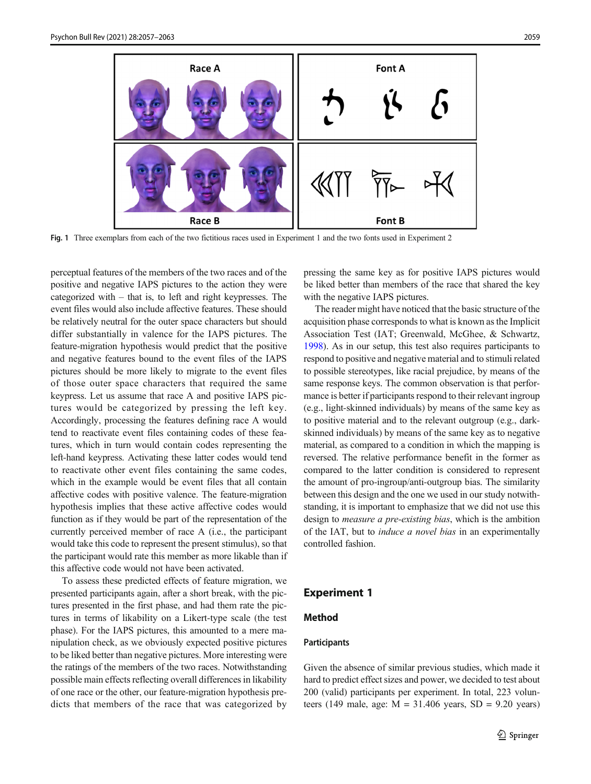<span id="page-2-0"></span>

Fig. 1 Three exemplars from each of the two fictitious races used in Experiment 1 and the two fonts used in Experiment 2

perceptual features of the members of the two races and of the positive and negative IAPS pictures to the action they were categorized with – that is, to left and right keypresses. The event files would also include affective features. These should be relatively neutral for the outer space characters but should differ substantially in valence for the IAPS pictures. The feature-migration hypothesis would predict that the positive and negative features bound to the event files of the IAPS pictures should be more likely to migrate to the event files of those outer space characters that required the same keypress. Let us assume that race A and positive IAPS pictures would be categorized by pressing the left key. Accordingly, processing the features defining race A would tend to reactivate event files containing codes of these features, which in turn would contain codes representing the left-hand keypress. Activating these latter codes would tend to reactivate other event files containing the same codes, which in the example would be event files that all contain affective codes with positive valence. The feature-migration hypothesis implies that these active affective codes would function as if they would be part of the representation of the currently perceived member of race A (i.e., the participant would take this code to represent the present stimulus), so that the participant would rate this member as more likable than if this affective code would not have been activated.

To assess these predicted effects of feature migration, we presented participants again, after a short break, with the pictures presented in the first phase, and had them rate the pictures in terms of likability on a Likert-type scale (the test phase). For the IAPS pictures, this amounted to a mere manipulation check, as we obviously expected positive pictures to be liked better than negative pictures. More interesting were the ratings of the members of the two races. Notwithstanding possible main effects reflecting overall differences in likability of one race or the other, our feature-migration hypothesis predicts that members of the race that was categorized by pressing the same key as for positive IAPS pictures would be liked better than members of the race that shared the key with the negative IAPS pictures.

The reader might have noticed that the basic structure of the acquisition phase corresponds to what is known as the Implicit Association Test (IAT; Greenwald, McGhee, & Schwartz, [1998\)](#page-6-0). As in our setup, this test also requires participants to respond to positive and negative material and to stimuli related to possible stereotypes, like racial prejudice, by means of the same response keys. The common observation is that performance is better if participants respond to their relevant ingroup (e.g., light-skinned individuals) by means of the same key as to positive material and to the relevant outgroup (e.g., darkskinned individuals) by means of the same key as to negative material, as compared to a condition in which the mapping is reversed. The relative performance benefit in the former as compared to the latter condition is considered to represent the amount of pro-ingroup/anti-outgroup bias. The similarity between this design and the one we used in our study notwithstanding, it is important to emphasize that we did not use this design to measure a pre-existing bias, which is the ambition of the IAT, but to induce a novel bias in an experimentally controlled fashion.

### Experiment 1

# Method

## **Participants**

Given the absence of similar previous studies, which made it hard to predict effect sizes and power, we decided to test about 200 (valid) participants per experiment. In total, 223 volunteers (149 male, age:  $M = 31.406$  years,  $SD = 9.20$  years)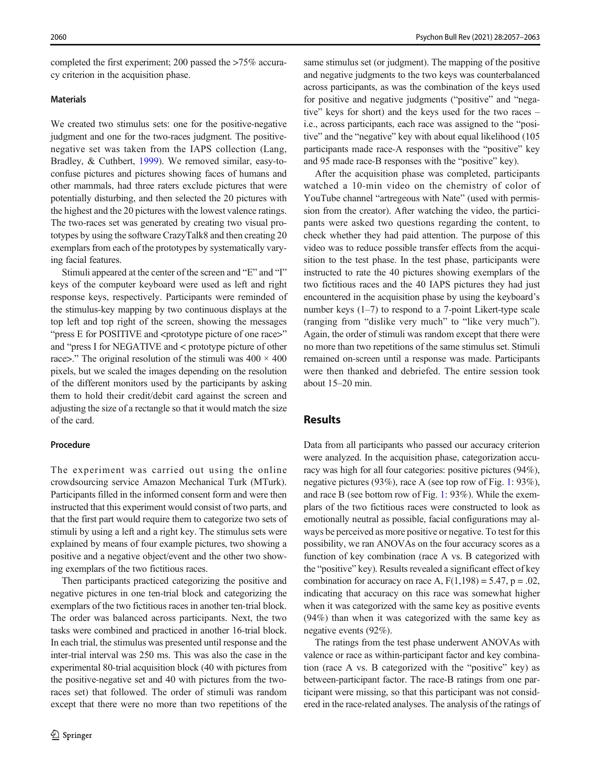completed the first experiment; 200 passed the >75% accuracy criterion in the acquisition phase.

#### **Materials**

We created two stimulus sets: one for the positive-negative judgment and one for the two-races judgment. The positivenegative set was taken from the IAPS collection (Lang, Bradley, & Cuthbert, [1999\)](#page-6-0). We removed similar, easy-toconfuse pictures and pictures showing faces of humans and other mammals, had three raters exclude pictures that were potentially disturbing, and then selected the 20 pictures with the highest and the 20 pictures with the lowest valence ratings. The two-races set was generated by creating two visual prototypes by using the software CrazyTalk8 and then creating 20 exemplars from each of the prototypes by systematically varying facial features.

Stimuli appeared at the center of the screen and "E" and "I" keys of the computer keyboard were used as left and right response keys, respectively. Participants were reminded of the stimulus-key mapping by two continuous displays at the top left and top right of the screen, showing the messages "press E for POSITIVE and <prototype picture of one race>" and "press I for NEGATIVE and < prototype picture of other race>." The original resolution of the stimuli was  $400 \times 400$ pixels, but we scaled the images depending on the resolution of the different monitors used by the participants by asking them to hold their credit/debit card against the screen and adjusting the size of a rectangle so that it would match the size of the card.

#### Procedure

The experiment was carried out using the online crowdsourcing service Amazon Mechanical Turk (MTurk). Participants filled in the informed consent form and were then instructed that this experiment would consist of two parts, and that the first part would require them to categorize two sets of stimuli by using a left and a right key. The stimulus sets were explained by means of four example pictures, two showing a positive and a negative object/event and the other two showing exemplars of the two fictitious races.

Then participants practiced categorizing the positive and negative pictures in one ten-trial block and categorizing the exemplars of the two fictitious races in another ten-trial block. The order was balanced across participants. Next, the two tasks were combined and practiced in another 16-trial block. In each trial, the stimulus was presented until response and the inter-trial interval was 250 ms. This was also the case in the experimental 80-trial acquisition block (40 with pictures from the positive-negative set and 40 with pictures from the tworaces set) that followed. The order of stimuli was random except that there were no more than two repetitions of the same stimulus set (or judgment). The mapping of the positive and negative judgments to the two keys was counterbalanced across participants, as was the combination of the keys used for positive and negative judgments ("positive" and "negative" keys for short) and the keys used for the two races – i.e., across participants, each race was assigned to the "positive" and the "negative" key with about equal likelihood (105 participants made race-A responses with the "positive" key and 95 made race-B responses with the "positive" key).

After the acquisition phase was completed, participants watched a 10-min video on the chemistry of color of YouTube channel "artregeous with Nate" (used with permission from the creator). After watching the video, the participants were asked two questions regarding the content, to check whether they had paid attention. The purpose of this video was to reduce possible transfer effects from the acquisition to the test phase. In the test phase, participants were instructed to rate the 40 pictures showing exemplars of the two fictitious races and the 40 IAPS pictures they had just encountered in the acquisition phase by using the keyboard's number keys  $(1-7)$  to respond to a 7-point Likert-type scale (ranging from "dislike very much" to "like very much"). Again, the order of stimuli was random except that there were no more than two repetitions of the same stimulus set. Stimuli remained on-screen until a response was made. Participants were then thanked and debriefed. The entire session took about 15–20 min.

### Results

Data from all participants who passed our accuracy criterion were analyzed. In the acquisition phase, categorization accuracy was high for all four categories: positive pictures (94%), negative pictures (93%), race A (see top row of Fig. [1:](#page-2-0) 93%), and race B (see bottom row of Fig. [1:](#page-2-0) 93%). While the exemplars of the two fictitious races were constructed to look as emotionally neutral as possible, facial configurations may always be perceived as more positive or negative. To test for this possibility, we ran ANOVAs on the four accuracy scores as a function of key combination (race A vs. B categorized with the "positive" key). Results revealed a significant effect of key combination for accuracy on race A,  $F(1,198) = 5.47$ ,  $p = .02$ , indicating that accuracy on this race was somewhat higher when it was categorized with the same key as positive events (94%) than when it was categorized with the same key as negative events (92%).

The ratings from the test phase underwent ANOVAs with valence or race as within-participant factor and key combination (race A vs. B categorized with the "positive" key) as between-participant factor. The race-B ratings from one participant were missing, so that this participant was not considered in the race-related analyses. The analysis of the ratings of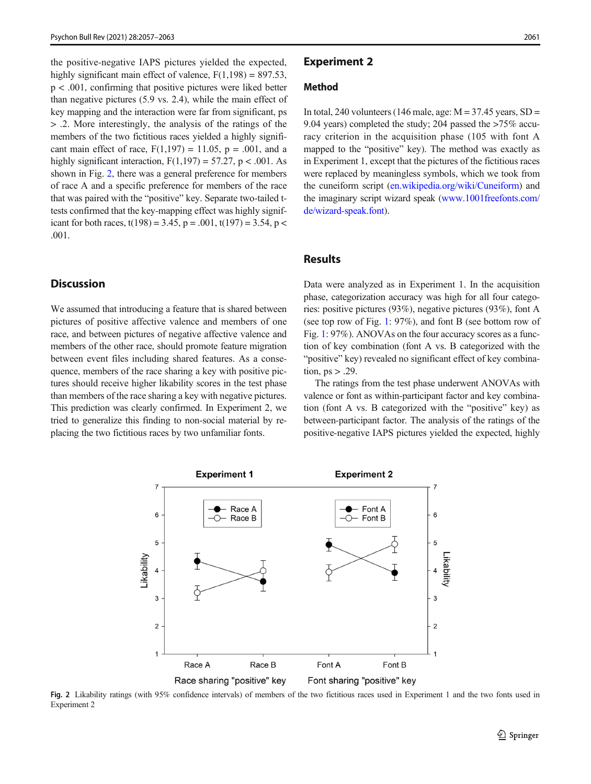<span id="page-4-0"></span>the positive-negative IAPS pictures yielded the expected, highly significant main effect of valence,  $F(1,198) = 897.53$ , p < .001, confirming that positive pictures were liked better than negative pictures (5.9 vs. 2.4), while the main effect of key mapping and the interaction were far from significant, ps > .2. More interestingly, the analysis of the ratings of the members of the two fictitious races yielded a highly significant main effect of race,  $F(1,197) = 11.05$ ,  $p = .001$ , and a highly significant interaction,  $F(1,197) = 57.27$ ,  $p < .001$ . As shown in Fig. 2, there was a general preference for members of race A and a specific preference for members of the race that was paired with the "positive" key. Separate two-tailed ttests confirmed that the key-mapping effect was highly significant for both races,  $t(198) = 3.45$ ,  $p = .001$ ,  $t(197) = 3.54$ ,  $p <$ .001.

# **Discussion**

We assumed that introducing a feature that is shared between pictures of positive affective valence and members of one race, and between pictures of negative affective valence and members of the other race, should promote feature migration between event files including shared features. As a consequence, members of the race sharing a key with positive pictures should receive higher likability scores in the test phase than members of the race sharing a key with negative pictures. This prediction was clearly confirmed. In Experiment 2, we tried to generalize this finding to non-social material by replacing the two fictitious races by two unfamiliar fonts.

#### Experiment 2

### Method

In total, 240 volunteers (146 male, age:  $M = 37.45$  years, SD = 9.04 years) completed the study; 204 passed the >75% accuracy criterion in the acquisition phase (105 with font A mapped to the "positive" key). The method was exactly as in Experiment 1, except that the pictures of the fictitious races were replaced by meaningless symbols, which we took from the cuneiform script [\(en.wikipedia.org/wiki/Cuneiform](http://en.wikipedia.org/wiki/Cuneiform)) and the imaginary script wizard speak [\(www.1001freefonts.com/](http://www.1001freefonts.com/de/wizard-speak.font) [de/wizard-speak.font](http://www.1001freefonts.com/de/wizard-speak.font)).

# **Results**

Data were analyzed as in Experiment 1. In the acquisition phase, categorization accuracy was high for all four categories: positive pictures (93%), negative pictures (93%), font A (see top row of Fig. [1](#page-2-0): 97%), and font B (see bottom row of Fig. [1:](#page-2-0) 97%). ANOVAs on the four accuracy scores as a function of key combination (font A vs. B categorized with the "positive" key) revealed no significant effect of key combination,  $ps > .29$ .

The ratings from the test phase underwent ANOVAs with valence or font as within-participant factor and key combination (font A vs. B categorized with the "positive" key) as between-participant factor. The analysis of the ratings of the positive-negative IAPS pictures yielded the expected, highly



Fig. 2 Likability ratings (with 95% confidence intervals) of members of the two fictitious races used in Experiment 1 and the two fonts used in Experiment 2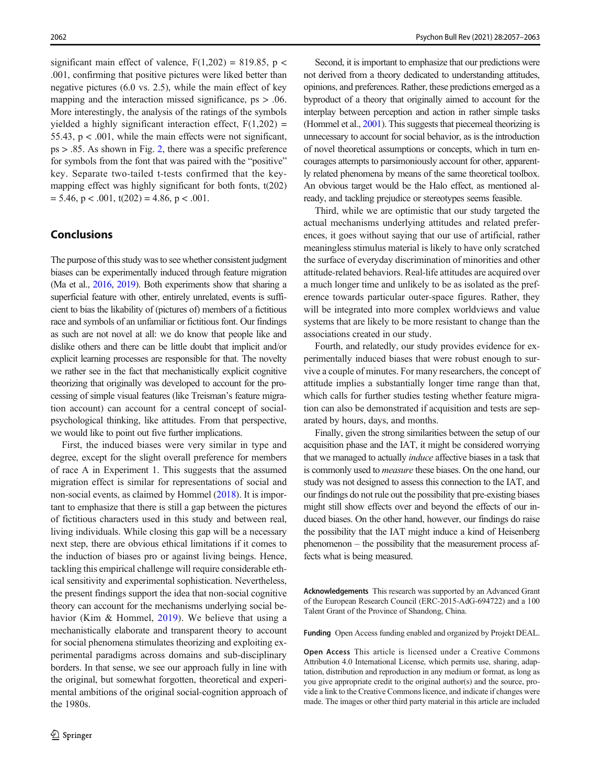significant main effect of valence,  $F(1,202) = 819.85$ , p < .001, confirming that positive pictures were liked better than negative pictures (6.0 vs. 2.5), while the main effect of key mapping and the interaction missed significance,  $ps > .06$ . More interestingly, the analysis of the ratings of the symbols yielded a highly significant interaction effect,  $F(1,202) =$ 55.43, p < .001, while the main effects were not significant, ps > .85. As shown in Fig. [2,](#page-4-0) there was a specific preference for symbols from the font that was paired with the "positive" key. Separate two-tailed t-tests confirmed that the keymapping effect was highly significant for both fonts, t(202)  $= 5.46$ ,  $p < .001$ ,  $t(202) = 4.86$ ,  $p < .001$ .

### Conclusions

The purpose of this study was to see whether consistent judgment biases can be experimentally induced through feature migration (Ma et al., [2016](#page-6-0), [2019\)](#page-6-0). Both experiments show that sharing a superficial feature with other, entirely unrelated, events is sufficient to bias the likability of (pictures of) members of a fictitious race and symbols of an unfamiliar or fictitious font. Our findings as such are not novel at all: we do know that people like and dislike others and there can be little doubt that implicit and/or explicit learning processes are responsible for that. The novelty we rather see in the fact that mechanistically explicit cognitive theorizing that originally was developed to account for the processing of simple visual features (like Treisman's feature migration account) can account for a central concept of socialpsychological thinking, like attitudes. From that perspective, we would like to point out five further implications.

First, the induced biases were very similar in type and degree, except for the slight overall preference for members of race A in Experiment 1. This suggests that the assumed migration effect is similar for representations of social and non-social events, as claimed by Hommel [\(2018\)](#page-6-0). It is important to emphasize that there is still a gap between the pictures of fictitious characters used in this study and between real, living individuals. While closing this gap will be a necessary next step, there are obvious ethical limitations if it comes to the induction of biases pro or against living beings. Hence, tackling this empirical challenge will require considerable ethical sensitivity and experimental sophistication. Nevertheless, the present findings support the idea that non-social cognitive theory can account for the mechanisms underlying social behavior (Kim & Hommel, [2019](#page-6-0)). We believe that using a mechanistically elaborate and transparent theory to account for social phenomena stimulates theorizing and exploiting experimental paradigms across domains and sub-disciplinary borders. In that sense, we see our approach fully in line with the original, but somewhat forgotten, theoretical and experimental ambitions of the original social-cognition approach of the 1980s.

Second, it is important to emphasize that our predictions were not derived from a theory dedicated to understanding attitudes, opinions, and preferences. Rather, these predictions emerged as a byproduct of a theory that originally aimed to account for the interplay between perception and action in rather simple tasks (Hommel et al., [2001](#page-6-0)). This suggests that piecemeal theorizing is unnecessary to account for social behavior, as is the introduction of novel theoretical assumptions or concepts, which in turn encourages attempts to parsimoniously account for other, apparently related phenomena by means of the same theoretical toolbox. An obvious target would be the Halo effect, as mentioned already, and tackling prejudice or stereotypes seems feasible.

Third, while we are optimistic that our study targeted the actual mechanisms underlying attitudes and related preferences, it goes without saying that our use of artificial, rather meaningless stimulus material is likely to have only scratched the surface of everyday discrimination of minorities and other attitude-related behaviors. Real-life attitudes are acquired over a much longer time and unlikely to be as isolated as the preference towards particular outer-space figures. Rather, they will be integrated into more complex worldviews and value systems that are likely to be more resistant to change than the associations created in our study.

Fourth, and relatedly, our study provides evidence for experimentally induced biases that were robust enough to survive a couple of minutes. For many researchers, the concept of attitude implies a substantially longer time range than that, which calls for further studies testing whether feature migration can also be demonstrated if acquisition and tests are separated by hours, days, and months.

Finally, given the strong similarities between the setup of our acquisition phase and the IAT, it might be considered worrying that we managed to actually induce affective biases in a task that is commonly used to measure these biases. On the one hand, our study was not designed to assess this connection to the IAT, and our findings do not rule out the possibility that pre-existing biases might still show effects over and beyond the effects of our induced biases. On the other hand, however, our findings do raise the possibility that the IAT might induce a kind of Heisenberg phenomenon – the possibility that the measurement process affects what is being measured.

Acknowledgements This research was supported by an Advanced Grant of the European Research Council (ERC-2015-AdG-694722) and a 100 Talent Grant of the Province of Shandong, China.

Funding Open Access funding enabled and organized by Projekt DEAL.

Open Access This article is licensed under a Creative Commons Attribution 4.0 International License, which permits use, sharing, adaptation, distribution and reproduction in any medium or format, as long as you give appropriate credit to the original author(s) and the source, provide a link to the Creative Commons licence, and indicate if changes were made. The images or other third party material in this article are included